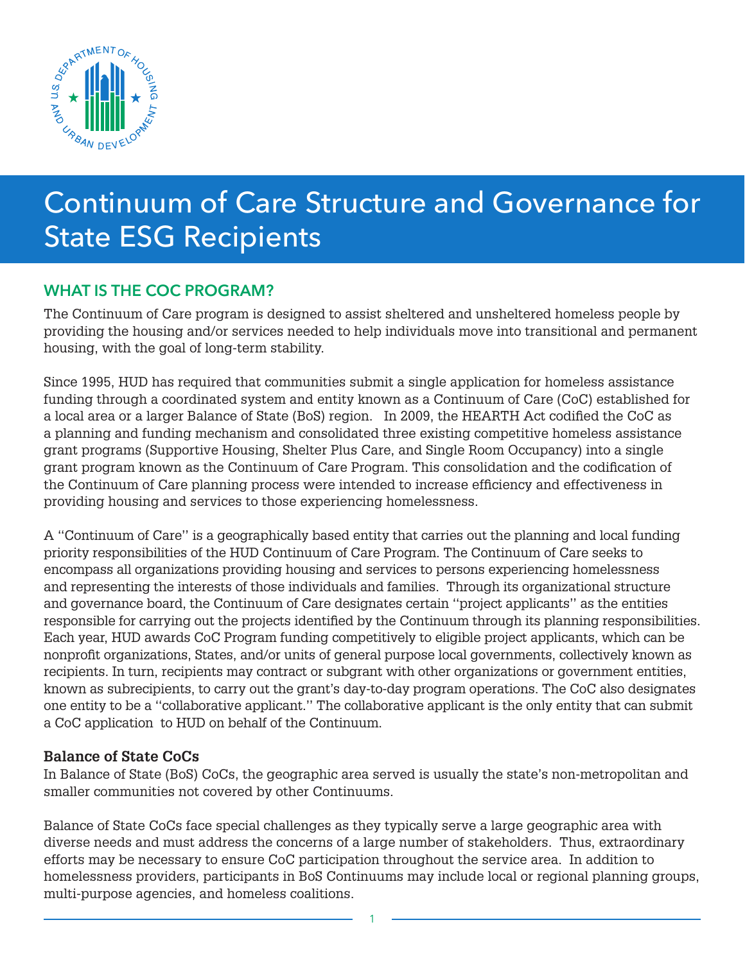

# Continuum of Care Structure and Governance for State ESG Recipients

## WHAT IS THE COC PROGRAM?

The Continuum of Care program is designed to assist sheltered and unsheltered homeless people by providing the housing and/or services needed to help individuals move into transitional and permanent housing, with the goal of long-term stability.

Since 1995, HUD has required that communities submit a single application for homeless assistance funding through a coordinated system and entity known as a Continuum of Care (CoC) established for a local area or a larger Balance of State (BoS) region. In 2009, the HEARTH Act codified the CoC as a planning and funding mechanism and consolidated three existing competitive homeless assistance grant programs (Supportive Housing, Shelter Plus Care, and Single Room Occupancy) into a single grant program known as the Continuum of Care Program. This consolidation and the codification of the Continuum of Care planning process were intended to increase efficiency and effectiveness in providing housing and services to those experiencing homelessness.

A ''Continuum of Care'' is a geographically based entity that carries out the planning and local funding priority responsibilities of the HUD Continuum of Care Program. The Continuum of Care seeks to encompass all organizations providing housing and services to persons experiencing homelessness and representing the interests of those individuals and families. Through its organizational structure and governance board, the Continuum of Care designates certain ''project applicants'' as the entities responsible for carrying out the projects identified by the Continuum through its planning responsibilities. Each year, HUD awards CoC Program funding competitively to eligible project applicants, which can be nonprofit organizations, States, and/or units of general purpose local governments, collectively known as recipients. In turn, recipients may contract or subgrant with other organizations or government entities, known as subrecipients, to carry out the grant's day-to-day program operations. The CoC also designates one entity to be a ''collaborative applicant.'' The collaborative applicant is the only entity that can submit a CoC application to HUD on behalf of the Continuum.

#### **Balance of State CoCs**

In Balance of State (BoS) CoCs, the geographic area served is usually the state's non-metropolitan and smaller communities not covered by other Continuums.

Balance of State CoCs face special challenges as they typically serve a large geographic area with diverse needs and must address the concerns of a large number of stakeholders. Thus, extraordinary efforts may be necessary to ensure CoC participation throughout the service area. In addition to homelessness providers, participants in BoS Continuums may include local or regional planning groups, multi-purpose agencies, and homeless coalitions.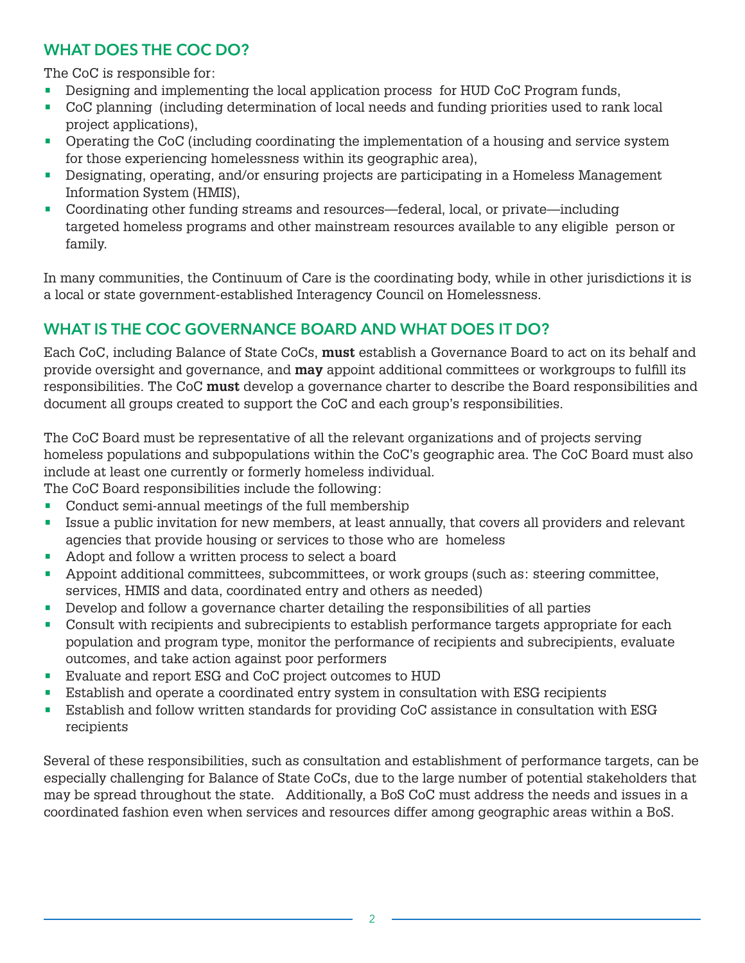## WHAT DOES THE COC DO?

The CoC is responsible for:

- Designing and implementing the local application process for HUD CoC Program funds,
- CoC planning (including determination of local needs and funding priorities used to rank local project applications),
- Operating the CoC (including coordinating the implementation of a housing and service system for those experiencing homelessness within its geographic area),
- Designating, operating, and/or ensuring projects are participating in a Homeless Management Information System (HMIS),
- Coordinating other funding streams and resources—federal, local, or private—including targeted homeless programs and other mainstream resources available to any eligible person or family.

In many communities, the Continuum of Care is the coordinating body, while in other jurisdictions it is a local or state government-established Interagency Council on Homelessness.

# WHAT IS THE COC GOVERNANCE BOARD AND WHAT DOES IT DO?

Each CoC, including Balance of State CoCs, **must** establish a Governance Board to act on its behalf and provide oversight and governance, and **may** appoint additional committees or workgroups to fulfill its responsibilities. The CoC **must** develop a governance charter to describe the Board responsibilities and document all groups created to support the CoC and each group's responsibilities.

The CoC Board must be representative of all the relevant organizations and of projects serving homeless populations and subpopulations within the CoC's geographic area. The CoC Board must also include at least one currently or formerly homeless individual.

The CoC Board responsibilities include the following:

- Conduct semi-annual meetings of the full membership
- Issue a public invitation for new members, at least annually, that covers all providers and relevant agencies that provide housing or services to those who are homeless
- Adopt and follow a written process to select a board
- Appoint additional committees, subcommittees, or work groups (such as: steering committee, services, HMIS and data, coordinated entry and others as needed)
- Develop and follow a governance charter detailing the responsibilities of all parties
- Consult with recipients and subrecipients to establish performance targets appropriate for each population and program type, monitor the performance of recipients and subrecipients, evaluate outcomes, and take action against poor performers
- Evaluate and report ESG and CoC project outcomes to HUD
- Establish and operate a coordinated entry system in consultation with ESG recipients
- Establish and follow written standards for providing CoC assistance in consultation with ESG recipients

Several of these responsibilities, such as consultation and establishment of performance targets, can be especially challenging for Balance of State CoCs, due to the large number of potential stakeholders that may be spread throughout the state. Additionally, a BoS CoC must address the needs and issues in a coordinated fashion even when services and resources differ among geographic areas within a BoS.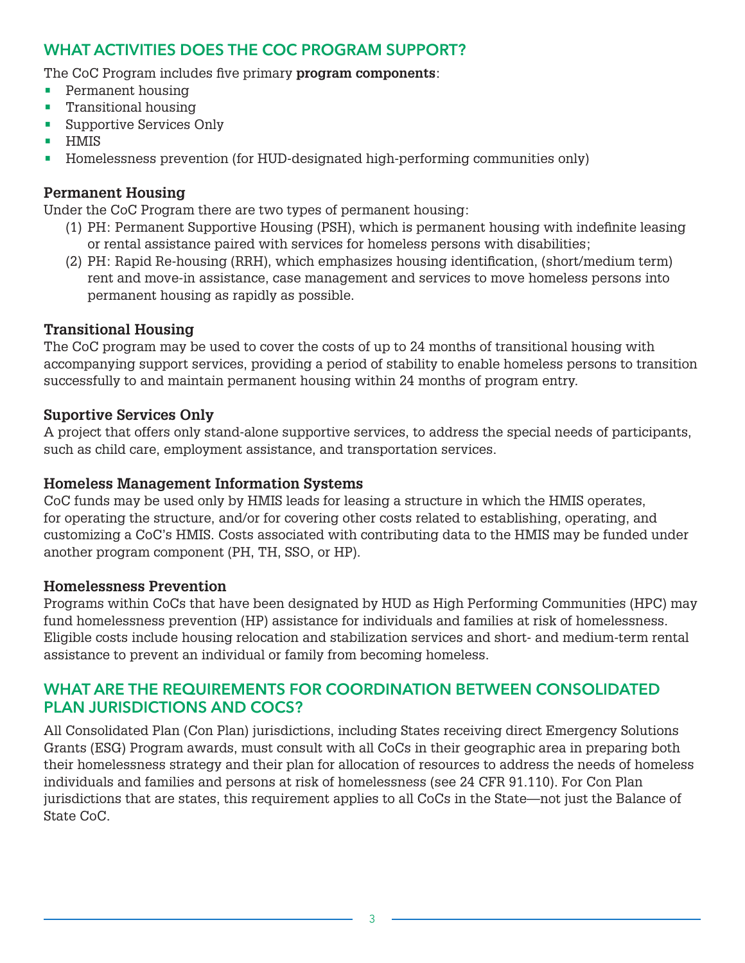### WHAT ACTIVITIES DOES THE COC PROGRAM SUPPORT?

The CoC Program includes five primary **program components**:

- Permanent housing
- **•** Transitional housing
- Supportive Services Only
- HMIS
- Homelessness prevention (for HUD-designated high-performing communities only)

#### **Permanent Housing**

Under the CoC Program there are two types of permanent housing:

- (1) PH: Permanent Supportive Housing (PSH), which is permanent housing with indefinite leasing or rental assistance paired with services for homeless persons with disabilities;
- (2) PH: Rapid Re-housing (RRH), which emphasizes housing identification, (short/medium term) rent and move-in assistance, case management and services to move homeless persons into permanent housing as rapidly as possible.

#### **Transitional Housing**

The CoC program may be used to cover the costs of up to 24 months of transitional housing with accompanying support services, providing a period of stability to enable homeless persons to transition successfully to and maintain permanent housing within 24 months of program entry.

#### **Suportive Services Only**

A project that offers only stand-alone supportive services, to address the special needs of participants, such as child care, employment assistance, and transportation services.

#### **Homeless Management Information Systems**

CoC funds may be used only by HMIS leads for leasing a structure in which the HMIS operates, for operating the structure, and/or for covering other costs related to establishing, operating, and customizing a CoC's HMIS. Costs associated with contributing data to the HMIS may be funded under another program component (PH, TH, SSO, or HP).

#### **Homelessness Prevention**

Programs within CoCs that have been designated by HUD as High Performing Communities (HPC) may fund homelessness prevention (HP) assistance for individuals and families at risk of homelessness. Eligible costs include housing relocation and stabilization services and short- and medium-term rental assistance to prevent an individual or family from becoming homeless.

#### WHAT ARE THE REQUIREMENTS FOR COORDINATION BETWEEN CONSOLIDATED PLAN JURISDICTIONS AND COCS?

All Consolidated Plan (Con Plan) jurisdictions, including States receiving direct Emergency Solutions Grants (ESG) Program awards, must consult with all CoCs in their geographic area in preparing both their homelessness strategy and their plan for allocation of resources to address the needs of homeless individuals and families and persons at risk of homelessness (see 24 CFR 91.110). For Con Plan jurisdictions that are states, this requirement applies to all CoCs in the State—not just the Balance of State CoC.